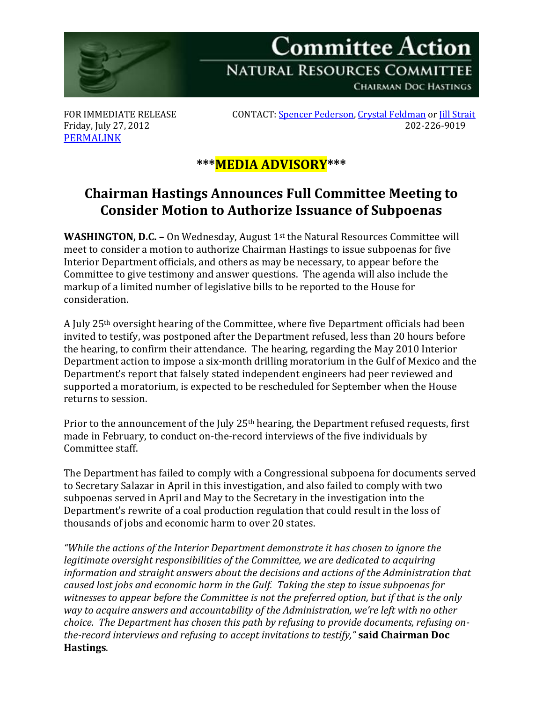

[PERMALINK](http://naturalresources.house.gov/News/DocumentSingle.aspx?DocumentID=304958)

FOR IMMEDIATE RELEASE CONTACT[: Spencer Pederson,](mailto:spencer.pederson@mail.house.gov) [Crystal Feldman](mailto:crystal.feldman@mail.house.gov) o[r Jill Strait](mailto:jill.strait@mail.house.gov) Friday, July 27, 2012 202-226-9019

## **\*\*\*MEDIA ADVISORY\*\*\***

## **Chairman Hastings Announces Full Committee Meeting to Consider Motion to Authorize Issuance of Subpoenas**

**WASHINGTON, D.C. -** On Wednesday, August 1<sup>st</sup> the Natural Resources Committee will meet to consider a motion to authorize Chairman Hastings to issue subpoenas for five Interior Department officials, and others as may be necessary, to appear before the Committee to give testimony and answer questions. The agenda will also include the markup of a limited number of legislative bills to be reported to the House for consideration.

A July 25th oversight hearing of the Committee, where five Department officials had been invited to testify, was postponed after the Department refused, less than 20 hours before the hearing, to confirm their attendance. The hearing, regarding the May 2010 Interior Department action to impose a six-month drilling moratorium in the Gulf of Mexico and the Department's report that falsely stated independent engineers had peer reviewed and supported a moratorium, is expected to be rescheduled for September when the House returns to session.

Prior to the announcement of the July 25<sup>th</sup> hearing, the Department refused requests, first made in February, to conduct on-the-record interviews of the five individuals by Committee staff.

The Department has failed to comply with a Congressional subpoena for documents served to Secretary Salazar in April in this investigation, and also failed to comply with two subpoenas served in April and May to the Secretary in the investigation into the Department's rewrite of a coal production regulation that could result in the loss of thousands of jobs and economic harm to over 20 states.

*"While the actions of the Interior Department demonstrate it has chosen to ignore the legitimate oversight responsibilities of the Committee, we are dedicated to acquiring information and straight answers about the decisions and actions of the Administration that caused lost jobs and economic harm in the Gulf. Taking the step to issue subpoenas for witnesses to appear before the Committee is not the preferred option, but if that is the only way to acquire answers and accountability of the Administration, we're left with no other choice. The Department has chosen this path by refusing to provide documents, refusing onthe-record interviews and refusing to accept invitations to testify,"* **said Chairman Doc Hastings**.